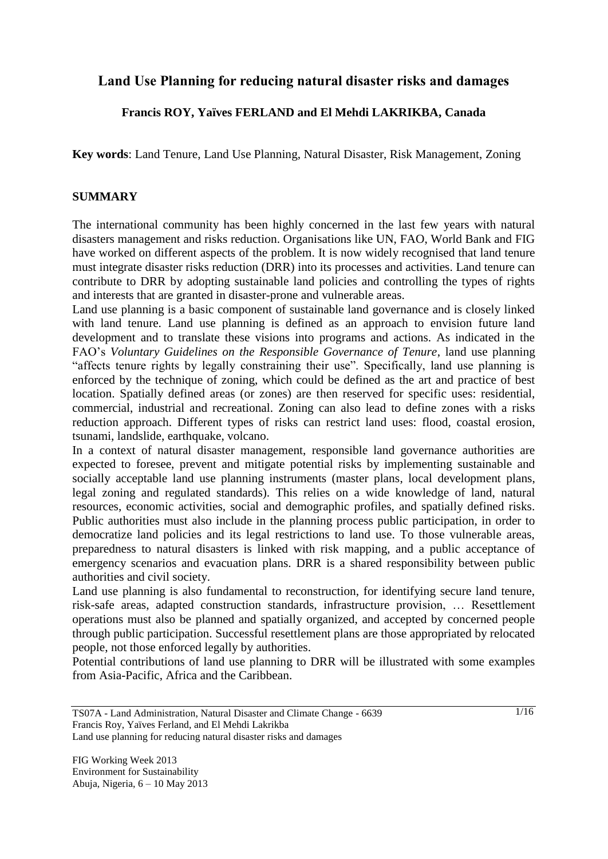# **Land Use Planning for reducing natural disaster risks and damages**

## **Francis ROY, Yaïves FERLAND and El Mehdi LAKRIKBA, Canada**

**Key words**: Land Tenure, Land Use Planning, Natural Disaster, Risk Management, Zoning

#### **SUMMARY**

The international community has been highly concerned in the last few years with natural disasters management and risks reduction. Organisations like UN, FAO, World Bank and FIG have worked on different aspects of the problem. It is now widely recognised that land tenure must integrate disaster risks reduction (DRR) into its processes and activities. Land tenure can contribute to DRR by adopting sustainable land policies and controlling the types of rights and interests that are granted in disaster-prone and vulnerable areas.

Land use planning is a basic component of sustainable land governance and is closely linked with land tenure. Land use planning is defined as an approach to envision future land development and to translate these visions into programs and actions. As indicated in the FAO's *Voluntary Guidelines on the Responsible Governance of Tenure*, land use planning "affects tenure rights by legally constraining their use". Specifically, land use planning is enforced by the technique of zoning, which could be defined as the art and practice of best location. Spatially defined areas (or zones) are then reserved for specific uses: residential, commercial, industrial and recreational. Zoning can also lead to define zones with a risks reduction approach. Different types of risks can restrict land uses: flood, coastal erosion, tsunami, landslide, earthquake, volcano.

In a context of natural disaster management, responsible land governance authorities are expected to foresee, prevent and mitigate potential risks by implementing sustainable and socially acceptable land use planning instruments (master plans, local development plans, legal zoning and regulated standards). This relies on a wide knowledge of land, natural resources, economic activities, social and demographic profiles, and spatially defined risks. Public authorities must also include in the planning process public participation, in order to democratize land policies and its legal restrictions to land use. To those vulnerable areas, preparedness to natural disasters is linked with risk mapping, and a public acceptance of emergency scenarios and evacuation plans. DRR is a shared responsibility between public authorities and civil society.

Land use planning is also fundamental to reconstruction, for identifying secure land tenure, risk-safe areas, adapted construction standards, infrastructure provision, … Resettlement operations must also be planned and spatially organized, and accepted by concerned people through public participation. Successful resettlement plans are those appropriated by relocated people, not those enforced legally by authorities.

Potential contributions of land use planning to DRR will be illustrated with some examples from Asia-Pacific, Africa and the Caribbean.

TS07A - Land Administration, Natural Disaster and Climate Change - 6639 Francis Roy, Yaïves Ferland, and El Mehdi Lakrikba

Land use planning for reducing natural disaster risks and damages

FIG Working Week 2013 Environment for Sustainability Abuja, Nigeria, 6 – 10 May 2013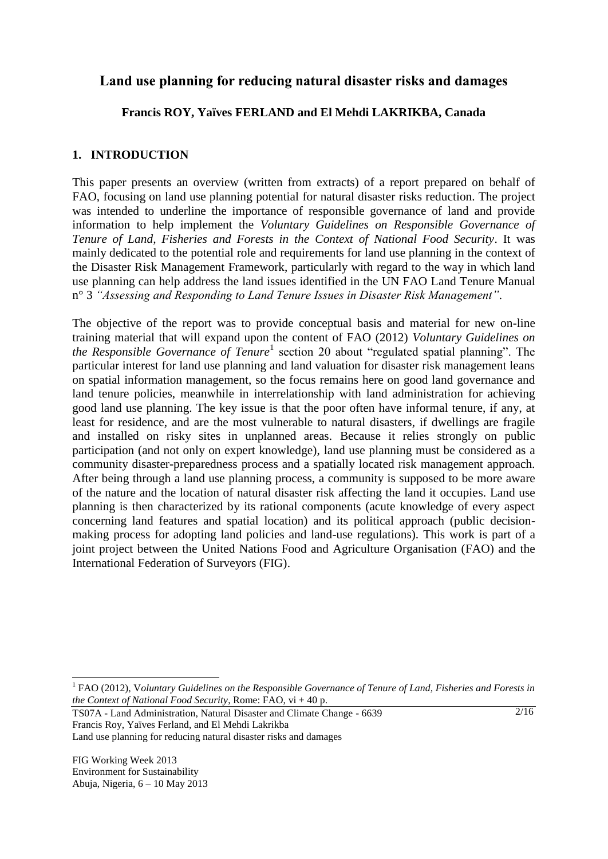# **Land use planning for reducing natural disaster risks and damages**

## **Francis ROY, Yaïves FERLAND and El Mehdi LAKRIKBA, Canada**

## **1. INTRODUCTION**

This paper presents an overview (written from extracts) of a report prepared on behalf of FAO, focusing on land use planning potential for natural disaster risks reduction. The project was intended to underline the importance of responsible governance of land and provide information to help implement the *Voluntary Guidelines on Responsible Governance of Tenure of Land, Fisheries and Forests in the Context of National Food Security*. It was mainly dedicated to the potential role and requirements for land use planning in the context of the Disaster Risk Management Framework, particularly with regard to the way in which land use planning can help address the land issues identified in the UN FAO Land Tenure Manual n° 3 *"Assessing and Responding to Land Tenure Issues in Disaster Risk Management"*.

The objective of the report was to provide conceptual basis and material for new on-line training material that will expand upon the content of FAO (2012) *Voluntary Guidelines on the Responsible Governance of Tenure*<sup>1</sup> section 20 about "regulated spatial planning". The particular interest for land use planning and land valuation for disaster risk management leans on spatial information management, so the focus remains here on good land governance and land tenure policies, meanwhile in interrelationship with land administration for achieving good land use planning. The key issue is that the poor often have informal tenure, if any, at least for residence, and are the most vulnerable to natural disasters, if dwellings are fragile and installed on risky sites in unplanned areas. Because it relies strongly on public participation (and not only on expert knowledge), land use planning must be considered as a community disaster-preparedness process and a spatially located risk management approach. After being through a land use planning process, a community is supposed to be more aware of the nature and the location of natural disaster risk affecting the land it occupies. Land use planning is then characterized by its rational components (acute knowledge of every aspect concerning land features and spatial location) and its political approach (public decisionmaking process for adopting land policies and land-use regulations). This work is part of a joint project between the United Nations Food and Agriculture Organisation (FAO) and the International Federation of Surveyors (FIG).

 $\frac{2}{16}$ 

FIG Working Week 2013 Environment for Sustainability Abuja, Nigeria, 6 – 10 May 2013

<sup>&</sup>lt;sup>1</sup> FAO (2012), Voluntary Guidelines on the Responsible Governance of Tenure of Land, Fisheries and Forests in *the Context of National Food Security*, Rome: FAO, vi + 40 p.

TS07A - Land Administration, Natural Disaster and Climate Change - 6639 Francis Roy, Yaïves Ferland, and El Mehdi Lakrikba Land use planning for reducing natural disaster risks and damages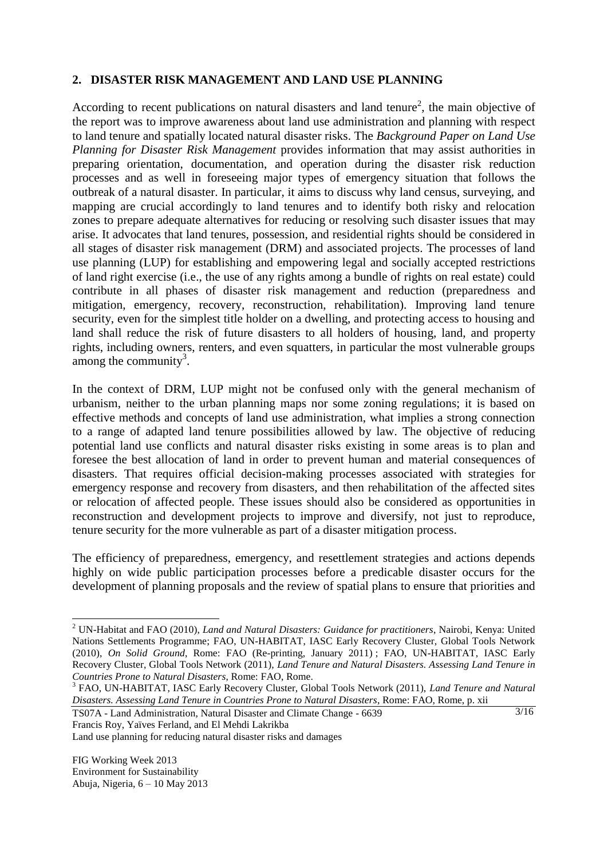### **2. DISASTER RISK MANAGEMENT AND LAND USE PLANNING**

According to recent publications on natural disasters and land tenure<sup>2</sup>, the main objective of the report was to improve awareness about land use administration and planning with respect to land tenure and spatially located natural disaster risks. The *Background Paper on Land Use Planning for Disaster Risk Management* provides information that may assist authorities in preparing orientation, documentation, and operation during the disaster risk reduction processes and as well in foreseeing major types of emergency situation that follows the outbreak of a natural disaster. In particular, it aims to discuss why land census, surveying, and mapping are crucial accordingly to land tenures and to identify both risky and relocation zones to prepare adequate alternatives for reducing or resolving such disaster issues that may arise. It advocates that land tenures, possession, and residential rights should be considered in all stages of disaster risk management (DRM) and associated projects. The processes of land use planning (LUP) for establishing and empowering legal and socially accepted restrictions of land right exercise (i.e., the use of any rights among a bundle of rights on real estate) could contribute in all phases of disaster risk management and reduction (preparedness and mitigation, emergency, recovery, reconstruction, rehabilitation). Improving land tenure security, even for the simplest title holder on a dwelling, and protecting access to housing and land shall reduce the risk of future disasters to all holders of housing, land, and property rights, including owners, renters, and even squatters, in particular the most vulnerable groups among the community $3$ .

In the context of DRM, LUP might not be confused only with the general mechanism of urbanism, neither to the urban planning maps nor some zoning regulations; it is based on effective methods and concepts of land use administration, what implies a strong connection to a range of adapted land tenure possibilities allowed by law. The objective of reducing potential land use conflicts and natural disaster risks existing in some areas is to plan and foresee the best allocation of land in order to prevent human and material consequences of disasters. That requires official decision-making processes associated with strategies for emergency response and recovery from disasters, and then rehabilitation of the affected sites or relocation of affected people. These issues should also be considered as opportunities in reconstruction and development projects to improve and diversify, not just to reproduce, tenure security for the more vulnerable as part of a disaster mitigation process.

The efficiency of preparedness, emergency, and resettlement strategies and actions depends highly on wide public participation processes before a predicable disaster occurs for the development of planning proposals and the review of spatial plans to ensure that priorities and

Land use planning for reducing natural disaster risks and damages

<sup>2</sup> UN-Habitat and FAO (2010), *Land and Natural Disasters: Guidance for practitioners*, Nairobi, Kenya: United Nations Settlements Programme; FAO, UN-HABITAT, IASC Early Recovery Cluster, Global Tools Network (2010), *On Solid Ground*, Rome: FAO (Re-printing, January 2011) ; FAO, UN-HABITAT, IASC Early Recovery Cluster, Global Tools Network (2011), *Land Tenure and Natural Disasters. Assessing Land Tenure in Countries Prone to Natural Disasters*, Rome: FAO, Rome.

 $\overline{\frac{3}{16}}$ 3 FAO, UN-HABITAT, IASC Early Recovery Cluster, Global Tools Network (2011), *Land Tenure and Natural Disasters. Assessing Land Tenure in Countries Prone to Natural Disasters*, Rome: FAO, Rome, p. xii

TS07A - Land Administration, Natural Disaster and Climate Change - 6639 Francis Roy, Yaïves Ferland, and El Mehdi Lakrikba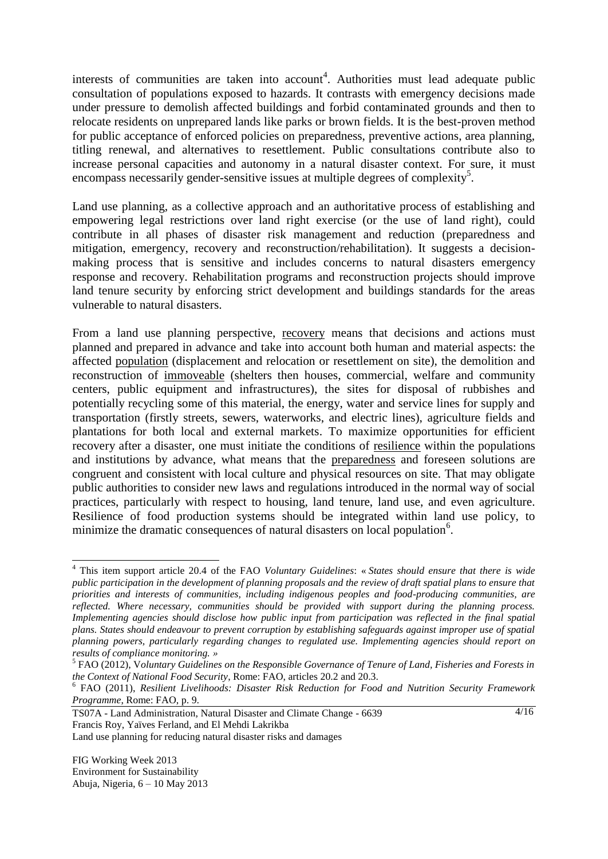interests of communities are taken into account<sup>4</sup>. Authorities must lead adequate public consultation of populations exposed to hazards. It contrasts with emergency decisions made under pressure to demolish affected buildings and forbid contaminated grounds and then to relocate residents on unprepared lands like parks or brown fields. It is the best-proven method for public acceptance of enforced policies on preparedness, preventive actions, area planning, titling renewal, and alternatives to resettlement. Public consultations contribute also to increase personal capacities and autonomy in a natural disaster context. For sure, it must encompass necessarily gender-sensitive issues at multiple degrees of complexity<sup>5</sup>.

Land use planning, as a collective approach and an authoritative process of establishing and empowering legal restrictions over land right exercise (or the use of land right), could contribute in all phases of disaster risk management and reduction (preparedness and mitigation, emergency, recovery and reconstruction/rehabilitation). It suggests a decisionmaking process that is sensitive and includes concerns to natural disasters emergency response and recovery. Rehabilitation programs and reconstruction projects should improve land tenure security by enforcing strict development and buildings standards for the areas vulnerable to natural disasters.

From a land use planning perspective, recovery means that decisions and actions must planned and prepared in advance and take into account both human and material aspects: the affected population (displacement and relocation or resettlement on site), the demolition and reconstruction of immoveable (shelters then houses, commercial, welfare and community centers, public equipment and infrastructures), the sites for disposal of rubbishes and potentially recycling some of this material, the energy, water and service lines for supply and transportation (firstly streets, sewers, waterworks, and electric lines), agriculture fields and plantations for both local and external markets. To maximize opportunities for efficient recovery after a disaster, one must initiate the conditions of resilience within the populations and institutions by advance, what means that the preparedness and foreseen solutions are congruent and consistent with local culture and physical resources on site. That may obligate public authorities to consider new laws and regulations introduced in the normal way of social practices, particularly with respect to housing, land tenure, land use, and even agriculture. Resilience of food production systems should be integrated within land use policy, to minimize the dramatic consequences of natural disasters on local population<sup>6</sup>.

 $4/16$ 

<sup>4</sup> This item support article 20.4 of the FAO *Voluntary Guidelines*: « *States should ensure that there is wide public participation in the development of planning proposals and the review of draft spatial plans to ensure that priorities and interests of communities, including indigenous peoples and food-producing communities, are reflected. Where necessary, communities should be provided with support during the planning process. Implementing agencies should disclose how public input from participation was reflected in the final spatial plans. States should endeavour to prevent corruption by establishing safeguards against improper use of spatial planning powers, particularly regarding changes to regulated use. Implementing agencies should report on results of compliance monitoring. »*

<sup>5</sup> FAO (2012), V*oluntary Guidelines on the Responsible Governance of Tenure of Land, Fisheries and Forests in the Context of National Food Security*, Rome: FAO, articles 20.2 and 20.3.

<sup>6</sup> FAO (2011), *Resilient Livelihoods: Disaster Risk Reduction for Food and Nutrition Security Framework Programme*, Rome: FAO, p. 9.

TS07A - Land Administration, Natural Disaster and Climate Change - 6639 Francis Roy, Yaïves Ferland, and El Mehdi Lakrikba

Land use planning for reducing natural disaster risks and damages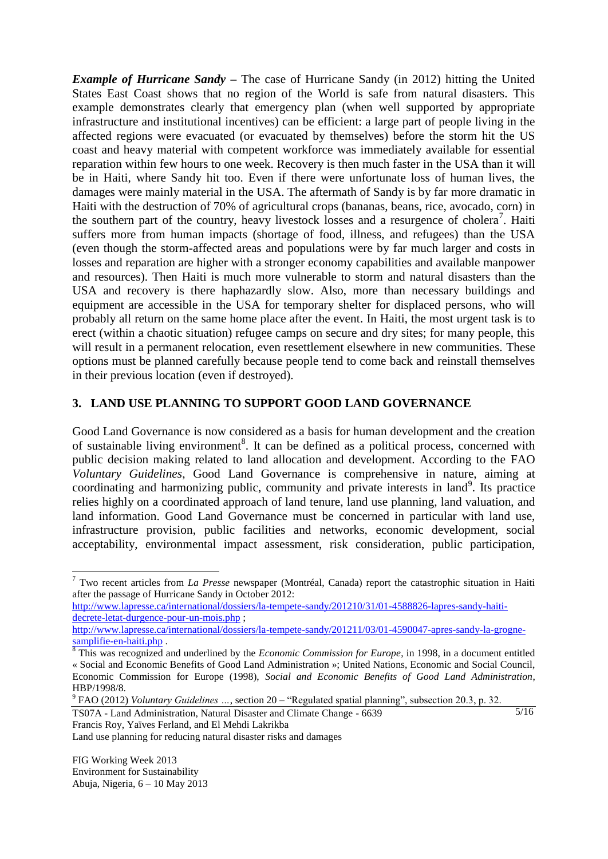*Example of Hurricane Sandy –* The case of Hurricane Sandy (in 2012) hitting the United States East Coast shows that no region of the World is safe from natural disasters. This example demonstrates clearly that emergency plan (when well supported by appropriate infrastructure and institutional incentives) can be efficient: a large part of people living in the affected regions were evacuated (or evacuated by themselves) before the storm hit the US coast and heavy material with competent workforce was immediately available for essential reparation within few hours to one week. Recovery is then much faster in the USA than it will be in Haiti, where Sandy hit too. Even if there were unfortunate loss of human lives, the damages were mainly material in the USA. The aftermath of Sandy is by far more dramatic in Haiti with the destruction of 70% of agricultural crops (bananas, beans, rice, avocado, corn) in the southern part of the country, heavy livestock losses and a resurgence of cholera<sup>7</sup>. Haiti suffers more from human impacts (shortage of food, illness, and refugees) than the USA (even though the storm-affected areas and populations were by far much larger and costs in losses and reparation are higher with a stronger economy capabilities and available manpower and resources). Then Haiti is much more vulnerable to storm and natural disasters than the USA and recovery is there haphazardly slow. Also, more than necessary buildings and equipment are accessible in the USA for temporary shelter for displaced persons, who will probably all return on the same home place after the event. In Haiti, the most urgent task is to erect (within a chaotic situation) refugee camps on secure and dry sites; for many people, this will result in a permanent relocation, even resettlement elsewhere in new communities. These options must be planned carefully because people tend to come back and reinstall themselves in their previous location (even if destroyed).

## **3. LAND USE PLANNING TO SUPPORT GOOD LAND GOVERNANCE**

Good Land Governance is now considered as a basis for human development and the creation of sustainable living environment<sup>8</sup>. It can be defined as a political process, concerned with public decision making related to land allocation and development. According to the FAO *Voluntary Guidelines*, Good Land Governance is comprehensive in nature, aiming at coordinating and harmonizing public, community and private interests in land<sup>9</sup>. Its practice relies highly on a coordinated approach of land tenure, land use planning, land valuation, and land information. Good Land Governance must be concerned in particular with land use, infrastructure provision, public facilities and networks, economic development, social acceptability, environmental impact assessment, risk consideration, public participation,

[http://www.lapresse.ca/international/dossiers/la-tempete-sandy/201210/31/01-4588826-lapres-sandy-haiti](http://www.lapresse.ca/international/dossiers/la-tempete-sandy/201210/31/01-4588826-lapres-sandy-Haïti-decrete-letat-durgence-pour-un-mois.php)[decrete-letat-durgence-pour-un-mois.php](http://www.lapresse.ca/international/dossiers/la-tempete-sandy/201210/31/01-4588826-lapres-sandy-Haïti-decrete-letat-durgence-pour-un-mois.php) ;

[http://www.lapresse.ca/international/dossiers/la-tempete-sandy/201211/03/01-4590047-apres-sandy-la-grogne](http://www.lapresse.ca/international/dossiers/la-tempete-sandy/201211/03/01-4590047-apres-sandy-la-grogne-samplifie-en-Haïti.php)[samplifie-en-haiti.php](http://www.lapresse.ca/international/dossiers/la-tempete-sandy/201211/03/01-4590047-apres-sandy-la-grogne-samplifie-en-Haïti.php) .

TS07A - Land Administration, Natural Disaster and Climate Change - 6639 Francis Roy, Yaïves Ferland, and El Mehdi Lakrikba 5/16

Land use planning for reducing natural disaster risks and damages

 $\overline{a}$ <sup>7</sup> Two recent articles from *La Presse* newspaper (Montréal, Canada) report the catastrophic situation in Haiti after the passage of Hurricane Sandy in October 2012:

<sup>&</sup>lt;sup>8</sup> This was recognized and underlined by the *Economic Commission for Europe*, in 1998, in a document entitled « Social and Economic Benefits of Good Land Administration »; United Nations, Economic and Social Council, Economic Commission for Europe (1998), *Social and Economic Benefits of Good Land Administration*, HBP/1998/8.

<sup>9</sup> FAO (2012) *Voluntary Guidelines …*, section 20 – "Regulated spatial planning", subsection 20.3, p. 32.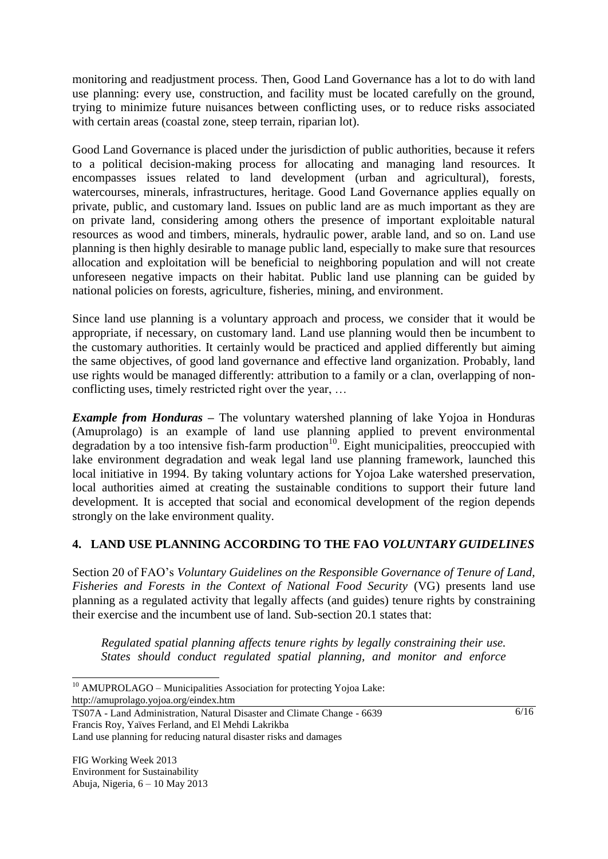monitoring and readjustment process. Then, Good Land Governance has a lot to do with land use planning: every use, construction, and facility must be located carefully on the ground, trying to minimize future nuisances between conflicting uses, or to reduce risks associated with certain areas (coastal zone, steep terrain, riparian lot).

Good Land Governance is placed under the jurisdiction of public authorities, because it refers to a political decision-making process for allocating and managing land resources. It encompasses issues related to land development (urban and agricultural), forests, watercourses, minerals, infrastructures, heritage. Good Land Governance applies equally on private, public, and customary land. Issues on public land are as much important as they are on private land, considering among others the presence of important exploitable natural resources as wood and timbers, minerals, hydraulic power, arable land, and so on. Land use planning is then highly desirable to manage public land, especially to make sure that resources allocation and exploitation will be beneficial to neighboring population and will not create unforeseen negative impacts on their habitat. Public land use planning can be guided by national policies on forests, agriculture, fisheries, mining, and environment.

Since land use planning is a voluntary approach and process, we consider that it would be appropriate, if necessary, on customary land. Land use planning would then be incumbent to the customary authorities. It certainly would be practiced and applied differently but aiming the same objectives, of good land governance and effective land organization. Probably, land use rights would be managed differently: attribution to a family or a clan, overlapping of nonconflicting uses, timely restricted right over the year, …

*Example from Honduras –* The voluntary watershed planning of lake Yojoa in Honduras (Amuprolago) is an example of land use planning applied to prevent environmental degradation by a too intensive fish-farm production<sup>10</sup>. Eight municipalities, preoccupied with lake environment degradation and weak legal land use planning framework, launched this local initiative in 1994. By taking voluntary actions for Yojoa Lake watershed preservation, local authorities aimed at creating the sustainable conditions to support their future land development. It is accepted that social and economical development of the region depends strongly on the lake environment quality.

## **4. LAND USE PLANNING ACCORDING TO THE FAO** *VOLUNTARY GUIDELINES*

Section 20 of FAO's *Voluntary Guidelines on the Responsible Governance of Tenure of Land, Fisheries and Forests in the Context of National Food Security* (VG) presents land use planning as a regulated activity that legally affects (and guides) tenure rights by constraining their exercise and the incumbent use of land. Sub-section 20.1 states that:

*Regulated spatial planning affects tenure rights by legally constraining their use. States should conduct regulated spatial planning, and monitor and enforce* 

Land use planning for reducing natural disaster risks and damages

 $\overline{a}$ <sup>10</sup> AMUPROLAGO – Municipalities Association for protecting Yojoa Lake: http://amuprolago.yojoa.org/eindex.htm

TS07A - Land Administration, Natural Disaster and Climate Change - 6639 Francis Roy, Yaïves Ferland, and El Mehdi Lakrikba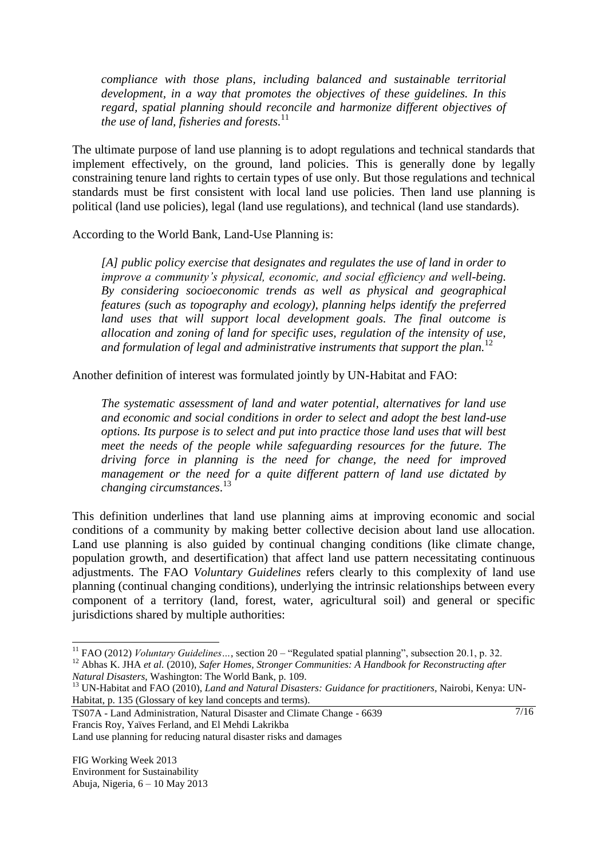*compliance with those plans, including balanced and sustainable territorial development, in a way that promotes the objectives of these guidelines. In this regard, spatial planning should reconcile and harmonize different objectives of the use of land, fisheries and forests.*<sup>11</sup>

The ultimate purpose of land use planning is to adopt regulations and technical standards that implement effectively, on the ground, land policies. This is generally done by legally constraining tenure land rights to certain types of use only. But those regulations and technical standards must be first consistent with local land use policies. Then land use planning is political (land use policies), legal (land use regulations), and technical (land use standards).

According to the World Bank, Land-Use Planning is:

*[A] public policy exercise that designates and regulates the use of land in order to improve a community's physical, economic, and social efficiency and well-being. By considering socioeconomic trends as well as physical and geographical features (such as topography and ecology), planning helps identify the preferred*  land uses that will support local development goals. The final outcome is *allocation and zoning of land for specific uses, regulation of the intensity of use, and formulation of legal and administrative instruments that support the plan.*<sup>12</sup>

Another definition of interest was formulated jointly by UN-Habitat and FAO:

*The systematic assessment of land and water potential, alternatives for land use and economic and social conditions in order to select and adopt the best land-use options. Its purpose is to select and put into practice those land uses that will best meet the needs of the people while safeguarding resources for the future. The driving force in planning is the need for change, the need for improved management or the need for a quite different pattern of land use dictated by changing circumstances*. 13

This definition underlines that land use planning aims at improving economic and social conditions of a community by making better collective decision about land use allocation. Land use planning is also guided by continual changing conditions (like climate change, population growth, and desertification) that affect land use pattern necessitating continuous adjustments. The FAO *Voluntary Guidelines* refers clearly to this complexity of land use planning (continual changing conditions), underlying the intrinsic relationships between every component of a territory (land, forest, water, agricultural soil) and general or specific jurisdictions shared by multiple authorities:

TS07A - Land Administration, Natural Disaster and Climate Change - 6639 Francis Roy, Yaïves Ferland, and El Mehdi Lakrikba

 $\sqrt{7/16}$ 

Land use planning for reducing natural disaster risks and damages

<sup>&</sup>lt;sup>11</sup> FAO (2012) *Voluntary Guidelines* ..., section 20 – "Regulated spatial planning", subsection 20.1, p. 32.

<sup>12</sup> Abhas K. JHA *et al.* (2010), *Safer Homes, Stronger Communities: A Handbook for Reconstructing after Natural Disasters*, Washington: The World Bank, p. 109.

<sup>13</sup> UN-Habitat and FAO (2010), *Land and Natural Disasters: Guidance for practitioners*, Nairobi, Kenya: UN-Habitat, p. 135 (Glossary of key land concepts and terms).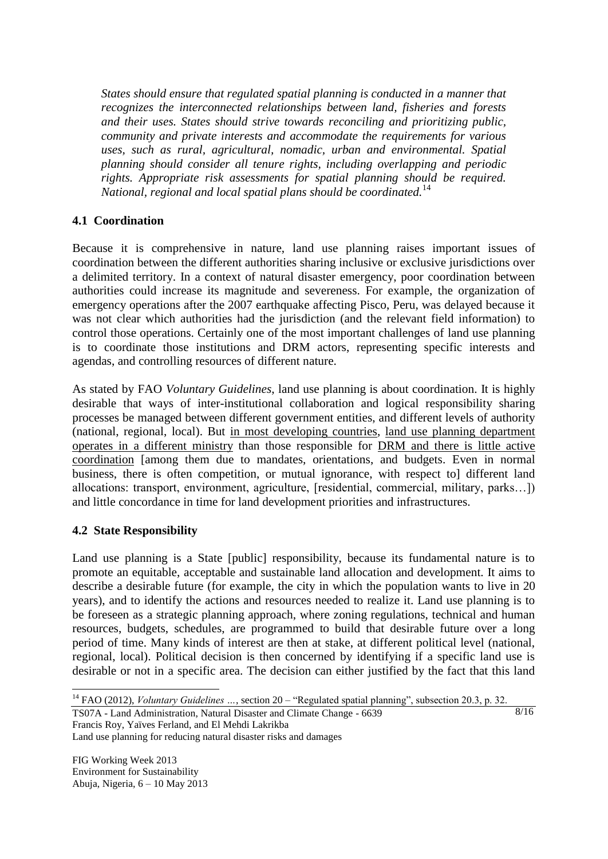*States should ensure that regulated spatial planning is conducted in a manner that recognizes the interconnected relationships between land, fisheries and forests and their uses. States should strive towards reconciling and prioritizing public, community and private interests and accommodate the requirements for various uses, such as rural, agricultural, nomadic, urban and environmental. Spatial planning should consider all tenure rights, including overlapping and periodic rights. Appropriate risk assessments for spatial planning should be required. National, regional and local spatial plans should be coordinated.*<sup>14</sup>

## **4.1 Coordination**

Because it is comprehensive in nature, land use planning raises important issues of coordination between the different authorities sharing inclusive or exclusive jurisdictions over a delimited territory. In a context of natural disaster emergency, poor coordination between authorities could increase its magnitude and severeness. For example, the organization of emergency operations after the 2007 earthquake affecting Pisco, Peru, was delayed because it was not clear which authorities had the jurisdiction (and the relevant field information) to control those operations. Certainly one of the most important challenges of land use planning is to coordinate those institutions and DRM actors, representing specific interests and agendas, and controlling resources of different nature.

As stated by FAO *Voluntary Guidelines*, land use planning is about coordination. It is highly desirable that ways of inter-institutional collaboration and logical responsibility sharing processes be managed between different government entities, and different levels of authority (national, regional, local). But in most developing countries, land use planning department operates in a different ministry than those responsible for DRM and there is little active coordination [among them due to mandates, orientations, and budgets. Even in normal business, there is often competition, or mutual ignorance, with respect to] different land allocations: transport, environment, agriculture, [residential, commercial, military, parks…]) and little concordance in time for land development priorities and infrastructures.

## **4.2 State Responsibility**

Land use planning is a State [public] responsibility, because its fundamental nature is to promote an equitable, acceptable and sustainable land allocation and development. It aims to describe a desirable future (for example, the city in which the population wants to live in 20 years), and to identify the actions and resources needed to realize it. Land use planning is to be foreseen as a strategic planning approach, where zoning regulations, technical and human resources, budgets, schedules, are programmed to build that desirable future over a long period of time. Many kinds of interest are then at stake, at different political level (national, regional, local). Political decision is then concerned by identifying if a specific land use is desirable or not in a specific area. The decision can either justified by the fact that this land

8/16

TS07A - Land Administration, Natural Disaster and Climate Change - 6639 Francis Roy, Yaïves Ferland, and El Mehdi Lakrikba

Land use planning for reducing natural disaster risks and damages

 $\overline{a}$ <sup>14</sup> FAO (2012), *Voluntary Guidelines ...*, section 20 – "Regulated spatial planning", subsection 20.3, p. 32.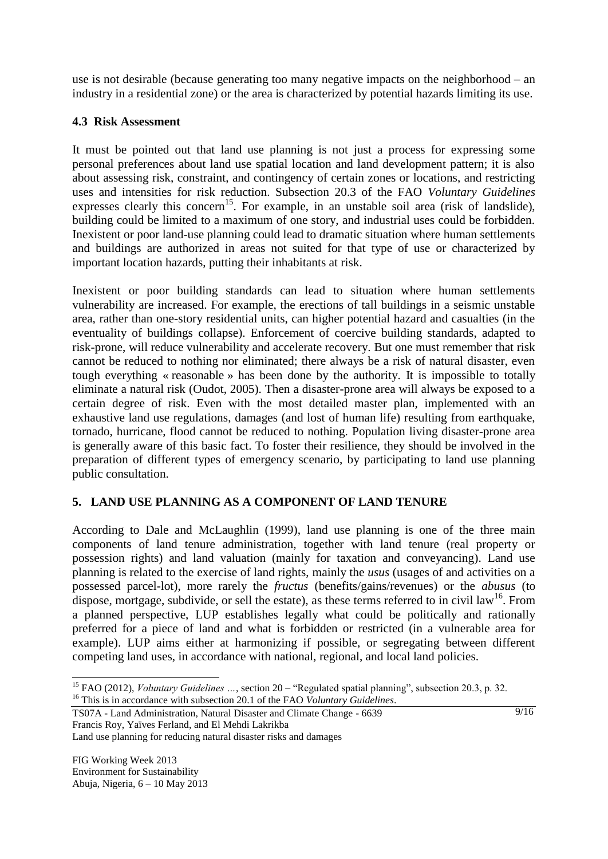use is not desirable (because generating too many negative impacts on the neighborhood – an industry in a residential zone) or the area is characterized by potential hazards limiting its use.

## **4.3 Risk Assessment**

It must be pointed out that land use planning is not just a process for expressing some personal preferences about land use spatial location and land development pattern; it is also about assessing risk, constraint, and contingency of certain zones or locations, and restricting uses and intensities for risk reduction. Subsection 20.3 of the FAO *Voluntary Guidelines* expresses clearly this concern<sup>15</sup>. For example, in an unstable soil area (risk of landslide), building could be limited to a maximum of one story, and industrial uses could be forbidden. Inexistent or poor land-use planning could lead to dramatic situation where human settlements and buildings are authorized in areas not suited for that type of use or characterized by important location hazards, putting their inhabitants at risk.

Inexistent or poor building standards can lead to situation where human settlements vulnerability are increased. For example, the erections of tall buildings in a seismic unstable area, rather than one-story residential units, can higher potential hazard and casualties (in the eventuality of buildings collapse). Enforcement of coercive building standards, adapted to risk-prone, will reduce vulnerability and accelerate recovery. But one must remember that risk cannot be reduced to nothing nor eliminated; there always be a risk of natural disaster, even tough everything « reasonable » has been done by the authority. It is impossible to totally eliminate a natural risk (Oudot, 2005). Then a disaster-prone area will always be exposed to a certain degree of risk. Even with the most detailed master plan, implemented with an exhaustive land use regulations, damages (and lost of human life) resulting from earthquake, tornado, hurricane, flood cannot be reduced to nothing. Population living disaster-prone area is generally aware of this basic fact. To foster their resilience, they should be involved in the preparation of different types of emergency scenario, by participating to land use planning public consultation.

## **5. LAND USE PLANNING AS A COMPONENT OF LAND TENURE**

According to Dale and McLaughlin (1999), land use planning is one of the three main components of land tenure administration, together with land tenure (real property or possession rights) and land valuation (mainly for taxation and conveyancing). Land use planning is related to the exercise of land rights, mainly the *usus* (usages of and activities on a possessed parcel-lot), more rarely the *fructus* (benefits/gains/revenues) or the *abusus* (to dispose, mortgage, subdivide, or sell the estate), as these terms referred to in civil  $law^{16}$ . From a planned perspective, LUP establishes legally what could be politically and rationally preferred for a piece of land and what is forbidden or restricted (in a vulnerable area for example). LUP aims either at harmonizing if possible, or segregating between different competing land uses, in accordance with national, regional, and local land policies.

Land use planning for reducing natural disaster risks and damages

<sup>15</sup> FAO (2012), *Voluntary Guidelines …*, section 20 – "Regulated spatial planning", subsection 20.3, p. 32. <sup>16</sup> This is in accordance with subsection 20.1 of the FAO *Voluntary Guidelines*.

TS07A - Land Administration, Natural Disaster and Climate Change - 6639 Francis Roy, Yaïves Ferland, and El Mehdi Lakrikba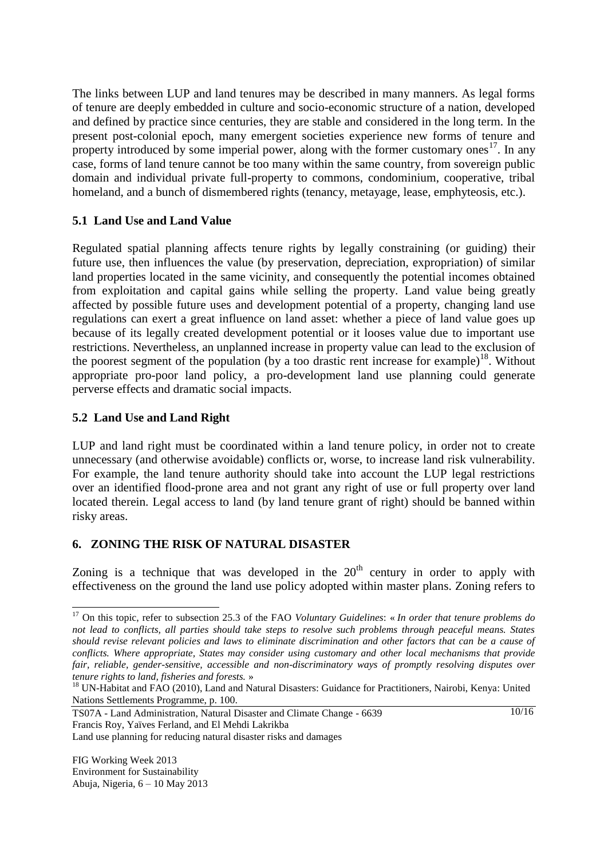The links between LUP and land tenures may be described in many manners. As legal forms of tenure are deeply embedded in culture and socio-economic structure of a nation, developed and defined by practice since centuries, they are stable and considered in the long term. In the present post-colonial epoch, many emergent societies experience new forms of tenure and property introduced by some imperial power, along with the former customary ones<sup>17</sup>. In any case, forms of land tenure cannot be too many within the same country, from sovereign public domain and individual private full-property to commons, condominium, cooperative, tribal homeland, and a bunch of dismembered rights (tenancy, metayage, lease, emphyteosis, etc.).

## **5.1 Land Use and Land Value**

Regulated spatial planning affects tenure rights by legally constraining (or guiding) their future use, then influences the value (by preservation, depreciation, expropriation) of similar land properties located in the same vicinity, and consequently the potential incomes obtained from exploitation and capital gains while selling the property. Land value being greatly affected by possible future uses and development potential of a property, changing land use regulations can exert a great influence on land asset: whether a piece of land value goes up because of its legally created development potential or it looses value due to important use restrictions. Nevertheless, an unplanned increase in property value can lead to the exclusion of the poorest segment of the population (by a too drastic rent increase for example)<sup>18</sup>. Without appropriate pro-poor land policy, a pro-development land use planning could generate perverse effects and dramatic social impacts.

## **5.2 Land Use and Land Right**

LUP and land right must be coordinated within a land tenure policy, in order not to create unnecessary (and otherwise avoidable) conflicts or, worse, to increase land risk vulnerability. For example, the land tenure authority should take into account the LUP legal restrictions over an identified flood-prone area and not grant any right of use or full property over land located therein. Legal access to land (by land tenure grant of right) should be banned within risky areas.

## **6. ZONING THE RISK OF NATURAL DISASTER**

Zoning is a technique that was developed in the  $20<sup>th</sup>$  century in order to apply with effectiveness on the ground the land use policy adopted within master plans. Zoning refers to

 $\frac{10}{16}$ 

<sup>17</sup> On this topic, refer to subsection 25.3 of the FAO *Voluntary Guidelines*: « *In order that tenure problems do not lead to conflicts, all parties should take steps to resolve such problems through peaceful means. States should revise relevant policies and laws to eliminate discrimination and other factors that can be a cause of conflicts. Where appropriate, States may consider using customary and other local mechanisms that provide fair, reliable, gender-sensitive, accessible and non-discriminatory ways of promptly resolving disputes over tenure rights to land, fisheries and forests.* »

<sup>&</sup>lt;sup>18</sup> UN-Habitat and FAO (2010), Land and Natural Disasters: Guidance for Practitioners, Nairobi, Kenya: United Nations Settlements Programme, p. 100.

TS07A - Land Administration, Natural Disaster and Climate Change - 6639 Francis Roy, Yaïves Ferland, and El Mehdi Lakrikba

Land use planning for reducing natural disaster risks and damages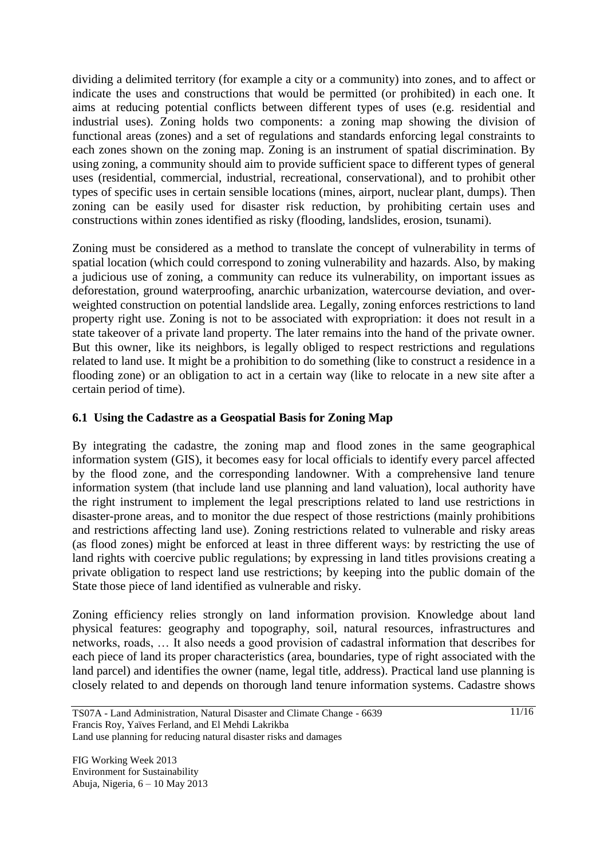dividing a delimited territory (for example a city or a community) into zones, and to affect or indicate the uses and constructions that would be permitted (or prohibited) in each one. It aims at reducing potential conflicts between different types of uses (e.g. residential and industrial uses). Zoning holds two components: a zoning map showing the division of functional areas (zones) and a set of regulations and standards enforcing legal constraints to each zones shown on the zoning map. Zoning is an instrument of spatial discrimination. By using zoning, a community should aim to provide sufficient space to different types of general uses (residential, commercial, industrial, recreational, conservational), and to prohibit other types of specific uses in certain sensible locations (mines, airport, nuclear plant, dumps). Then zoning can be easily used for disaster risk reduction, by prohibiting certain uses and constructions within zones identified as risky (flooding, landslides, erosion, tsunami).

Zoning must be considered as a method to translate the concept of vulnerability in terms of spatial location (which could correspond to zoning vulnerability and hazards. Also, by making a judicious use of zoning, a community can reduce its vulnerability, on important issues as deforestation, ground waterproofing, anarchic urbanization, watercourse deviation, and overweighted construction on potential landslide area. Legally, zoning enforces restrictions to land property right use. Zoning is not to be associated with expropriation: it does not result in a state takeover of a private land property. The later remains into the hand of the private owner. But this owner, like its neighbors, is legally obliged to respect restrictions and regulations related to land use. It might be a prohibition to do something (like to construct a residence in a flooding zone) or an obligation to act in a certain way (like to relocate in a new site after a certain period of time).

## **6.1 Using the Cadastre as a Geospatial Basis for Zoning Map**

By integrating the cadastre, the zoning map and flood zones in the same geographical information system (GIS), it becomes easy for local officials to identify every parcel affected by the flood zone, and the corresponding landowner. With a comprehensive land tenure information system (that include land use planning and land valuation), local authority have the right instrument to implement the legal prescriptions related to land use restrictions in disaster-prone areas, and to monitor the due respect of those restrictions (mainly prohibitions and restrictions affecting land use). Zoning restrictions related to vulnerable and risky areas (as flood zones) might be enforced at least in three different ways: by restricting the use of land rights with coercive public regulations; by expressing in land titles provisions creating a private obligation to respect land use restrictions; by keeping into the public domain of the State those piece of land identified as vulnerable and risky.

Zoning efficiency relies strongly on land information provision. Knowledge about land physical features: geography and topography, soil, natural resources, infrastructures and networks, roads, … It also needs a good provision of cadastral information that describes for each piece of land its proper characteristics (area, boundaries, type of right associated with the land parcel) and identifies the owner (name, legal title, address). Practical land use planning is closely related to and depends on thorough land tenure information systems. Cadastre shows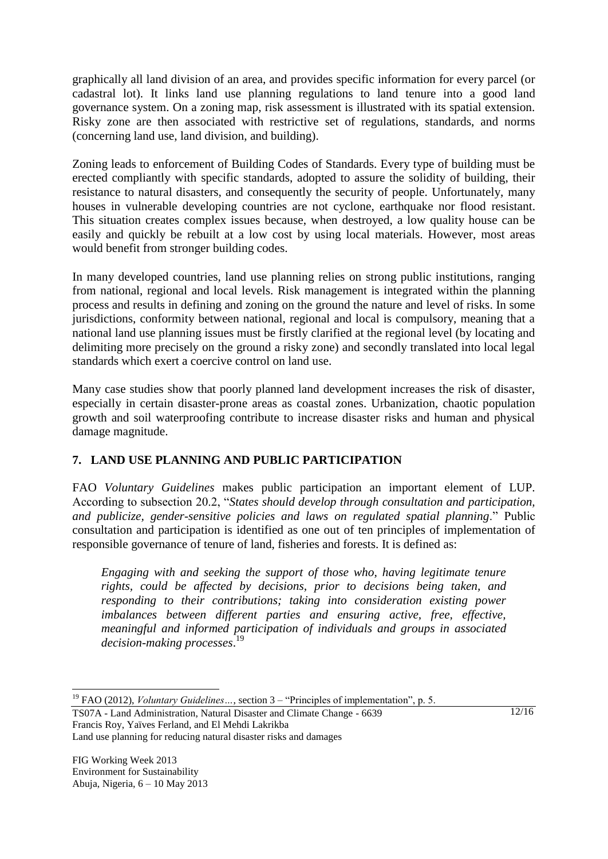graphically all land division of an area, and provides specific information for every parcel (or cadastral lot). It links land use planning regulations to land tenure into a good land governance system. On a zoning map, risk assessment is illustrated with its spatial extension. Risky zone are then associated with restrictive set of regulations, standards, and norms (concerning land use, land division, and building).

Zoning leads to enforcement of Building Codes of Standards. Every type of building must be erected compliantly with specific standards, adopted to assure the solidity of building, their resistance to natural disasters, and consequently the security of people. Unfortunately, many houses in vulnerable developing countries are not cyclone, earthquake nor flood resistant. This situation creates complex issues because, when destroyed, a low quality house can be easily and quickly be rebuilt at a low cost by using local materials. However, most areas would benefit from stronger building codes.

In many developed countries, land use planning relies on strong public institutions, ranging from national, regional and local levels. Risk management is integrated within the planning process and results in defining and zoning on the ground the nature and level of risks. In some jurisdictions, conformity between national, regional and local is compulsory, meaning that a national land use planning issues must be firstly clarified at the regional level (by locating and delimiting more precisely on the ground a risky zone) and secondly translated into local legal standards which exert a coercive control on land use.

Many case studies show that poorly planned land development increases the risk of disaster, especially in certain disaster-prone areas as coastal zones. Urbanization, chaotic population growth and soil waterproofing contribute to increase disaster risks and human and physical damage magnitude.

## **7. LAND USE PLANNING AND PUBLIC PARTICIPATION**

FAO *Voluntary Guidelines* makes public participation an important element of LUP. According to subsection 20.2, "*States should develop through consultation and participation, and publicize, gender-sensitive policies and laws on regulated spatial planning*." Public consultation and participation is identified as one out of ten principles of implementation of responsible governance of tenure of land, fisheries and forests. It is defined as:

*Engaging with and seeking the support of those who, having legitimate tenure rights, could be affected by decisions, prior to decisions being taken, and responding to their contributions; taking into consideration existing power imbalances between different parties and ensuring active, free, effective, meaningful and informed participation of individuals and groups in associated decision-making processes*. 19

TS07A - Land Administration, Natural Disaster and Climate Change - 6639 Francis Roy, Yaïves Ferland, and El Mehdi Lakrikba

Land use planning for reducing natural disaster risks and damages

 $12/16$ 

 $\overline{a}$ <sup>19</sup> FAO (2012), *Voluntary Guidelines* ..., section 3 – "Principles of implementation", p. 5.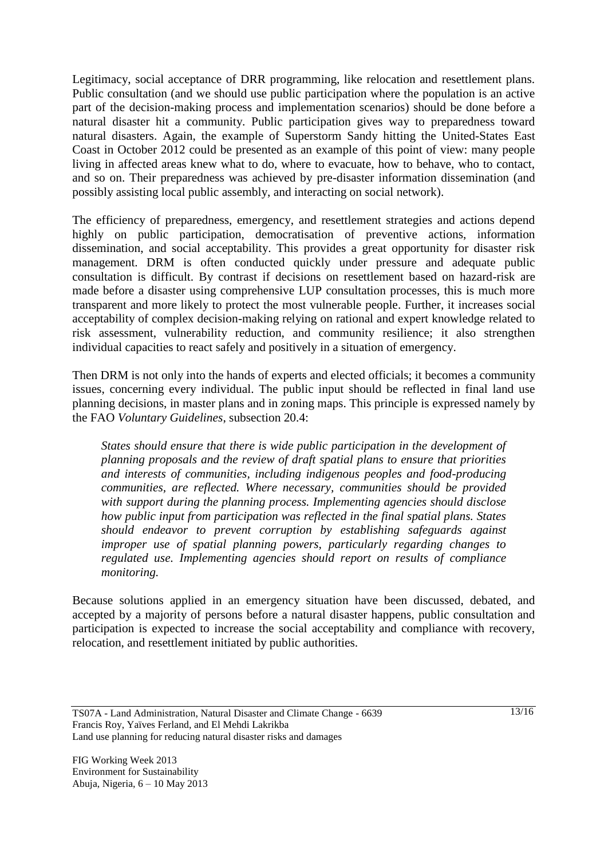Legitimacy, social acceptance of DRR programming, like relocation and resettlement plans. Public consultation (and we should use public participation where the population is an active part of the decision-making process and implementation scenarios) should be done before a natural disaster hit a community. Public participation gives way to preparedness toward natural disasters. Again, the example of Superstorm Sandy hitting the United-States East Coast in October 2012 could be presented as an example of this point of view: many people living in affected areas knew what to do, where to evacuate, how to behave, who to contact, and so on. Their preparedness was achieved by pre-disaster information dissemination (and possibly assisting local public assembly, and interacting on social network).

The efficiency of preparedness, emergency, and resettlement strategies and actions depend highly on public participation, democratisation of preventive actions, information dissemination, and social acceptability. This provides a great opportunity for disaster risk management. DRM is often conducted quickly under pressure and adequate public consultation is difficult. By contrast if decisions on resettlement based on hazard-risk are made before a disaster using comprehensive LUP consultation processes, this is much more transparent and more likely to protect the most vulnerable people. Further, it increases social acceptability of complex decision-making relying on rational and expert knowledge related to risk assessment, vulnerability reduction, and community resilience; it also strengthen individual capacities to react safely and positively in a situation of emergency.

Then DRM is not only into the hands of experts and elected officials; it becomes a community issues, concerning every individual. The public input should be reflected in final land use planning decisions, in master plans and in zoning maps. This principle is expressed namely by the FAO *Voluntary Guidelines*, subsection 20.4:

*States should ensure that there is wide public participation in the development of planning proposals and the review of draft spatial plans to ensure that priorities and interests of communities, including indigenous peoples and food-producing communities, are reflected. Where necessary, communities should be provided with support during the planning process. Implementing agencies should disclose how public input from participation was reflected in the final spatial plans. States should endeavor to prevent corruption by establishing safeguards against improper use of spatial planning powers, particularly regarding changes to regulated use. Implementing agencies should report on results of compliance monitoring.*

Because solutions applied in an emergency situation have been discussed, debated, and accepted by a majority of persons before a natural disaster happens, public consultation and participation is expected to increase the social acceptability and compliance with recovery, relocation, and resettlement initiated by public authorities.

TS07A - Land Administration, Natural Disaster and Climate Change - 6639 Francis Roy, Yaïves Ferland, and El Mehdi Lakrikba Land use planning for reducing natural disaster risks and damages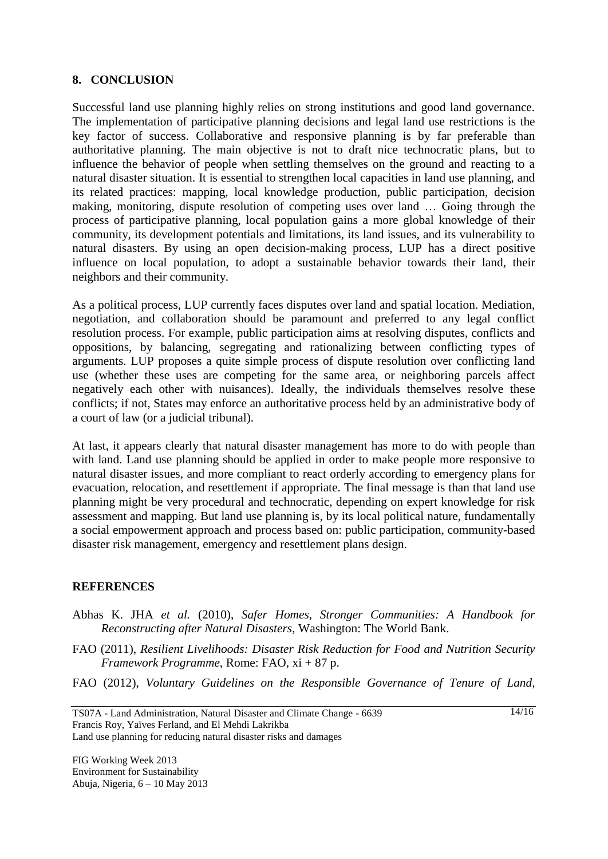#### **8. CONCLUSION**

Successful land use planning highly relies on strong institutions and good land governance. The implementation of participative planning decisions and legal land use restrictions is the key factor of success. Collaborative and responsive planning is by far preferable than authoritative planning. The main objective is not to draft nice technocratic plans, but to influence the behavior of people when settling themselves on the ground and reacting to a natural disaster situation. It is essential to strengthen local capacities in land use planning, and its related practices: mapping, local knowledge production, public participation, decision making, monitoring, dispute resolution of competing uses over land … Going through the process of participative planning, local population gains a more global knowledge of their community, its development potentials and limitations, its land issues, and its vulnerability to natural disasters. By using an open decision-making process, LUP has a direct positive influence on local population, to adopt a sustainable behavior towards their land, their neighbors and their community.

As a political process, LUP currently faces disputes over land and spatial location. Mediation, negotiation, and collaboration should be paramount and preferred to any legal conflict resolution process. For example, public participation aims at resolving disputes, conflicts and oppositions, by balancing, segregating and rationalizing between conflicting types of arguments. LUP proposes a quite simple process of dispute resolution over conflicting land use (whether these uses are competing for the same area, or neighboring parcels affect negatively each other with nuisances). Ideally, the individuals themselves resolve these conflicts; if not, States may enforce an authoritative process held by an administrative body of a court of law (or a judicial tribunal).

At last, it appears clearly that natural disaster management has more to do with people than with land. Land use planning should be applied in order to make people more responsive to natural disaster issues, and more compliant to react orderly according to emergency plans for evacuation, relocation, and resettlement if appropriate. The final message is than that land use planning might be very procedural and technocratic, depending on expert knowledge for risk assessment and mapping. But land use planning is, by its local political nature, fundamentally a social empowerment approach and process based on: public participation, community-based disaster risk management, emergency and resettlement plans design.

#### **REFERENCES**

- Abhas K. JHA *et al.* (2010), *Safer Homes, Stronger Communities: A Handbook for Reconstructing after Natural Disasters*, Washington: The World Bank.
- FAO (2011), *Resilient Livelihoods: Disaster Risk Reduction for Food and Nutrition Security Framework Programme*, Rome: FAO, xi + 87 p.
- FAO (2012), *Voluntary Guidelines on the Responsible Governance of Tenure of Land,*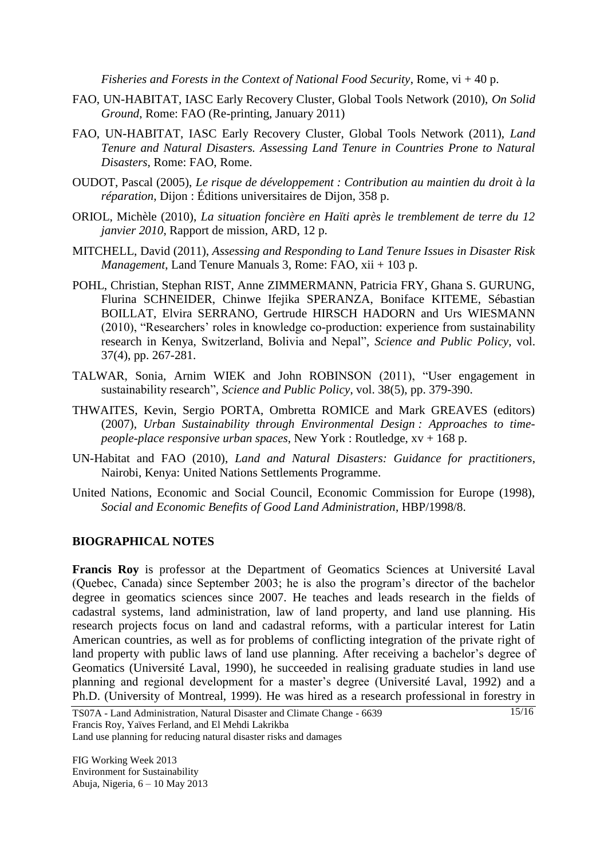*Fisheries and Forests in the Context of National Food Security*, Rome, vi + 40 p.

- FAO, UN-HABITAT, IASC Early Recovery Cluster, Global Tools Network (2010), *On Solid Ground*, Rome: FAO (Re-printing, January 2011)
- FAO, UN-HABITAT, IASC Early Recovery Cluster, Global Tools Network (2011), *Land Tenure and Natural Disasters. Assessing Land Tenure in Countries Prone to Natural Disasters*, Rome: FAO, Rome.
- OUDOT, Pascal (2005), *Le risque de développement : Contribution au maintien du droit à la réparation*, Dijon : Éditions universitaires de Dijon, 358 p.
- ORIOL, Michèle (2010), *La situation foncière en Haïti après le tremblement de terre du 12 janvier 2010*, Rapport de mission, ARD, 12 p.
- MITCHELL, David (2011), *Assessing and Responding to Land Tenure Issues in Disaster Risk Management*, Land Tenure Manuals 3, Rome: FAO, xii + 103 p.
- POHL, Christian, Stephan RIST, Anne ZIMMERMANN, Patricia FRY, Ghana S. GURUNG, Flurina SCHNEIDER, Chinwe Ifejika SPERANZA, Boniface KITEME, Sébastian BOILLAT, Elvira SERRANO, Gertrude HIRSCH HADORN and Urs WIESMANN (2010), "Researchers' roles in knowledge co-production: experience from sustainability research in Kenya, Switzerland, Bolivia and Nepal", *Science and Public Policy*, vol. 37(4), pp. 267-281.
- TALWAR, Sonia, Arnim WIEK and John ROBINSON (2011), "User engagement in sustainability research", *Science and Public Policy*, vol. 38(5), pp. 379-390.
- THWAITES, Kevin, Sergio PORTA, Ombretta ROMICE and Mark GREAVES (editors) (2007), *Urban Sustainability through Environmental Design : Approaches to timepeople-place responsive urban spaces*, New York : Routledge, xv + 168 p.
- UN-Habitat and FAO (2010), *Land and Natural Disasters: Guidance for practitioners*, Nairobi, Kenya: United Nations Settlements Programme.
- United Nations, Economic and Social Council, Economic Commission for Europe (1998), *Social and Economic Benefits of Good Land Administration*, HBP/1998/8.

#### **BIOGRAPHICAL NOTES**

**Francis Roy** is professor at the Department of Geomatics Sciences at Université Laval (Quebec, Canada) since September 2003; he is also the program's director of the bachelor degree in geomatics sciences since 2007. He teaches and leads research in the fields of cadastral systems, land administration, law of land property, and land use planning. His research projects focus on land and cadastral reforms, with a particular interest for Latin American countries, as well as for problems of conflicting integration of the private right of land property with public laws of land use planning. After receiving a bachelor's degree of Geomatics (Université Laval, 1990), he succeeded in realising graduate studies in land use planning and regional development for a master's degree (Université Laval, 1992) and a Ph.D. (University of Montreal, 1999). He was hired as a research professional in forestry in

Land use planning for reducing natural disaster risks and damages

FIG Working Week 2013 Environment for Sustainability Abuja, Nigeria, 6 – 10 May 2013